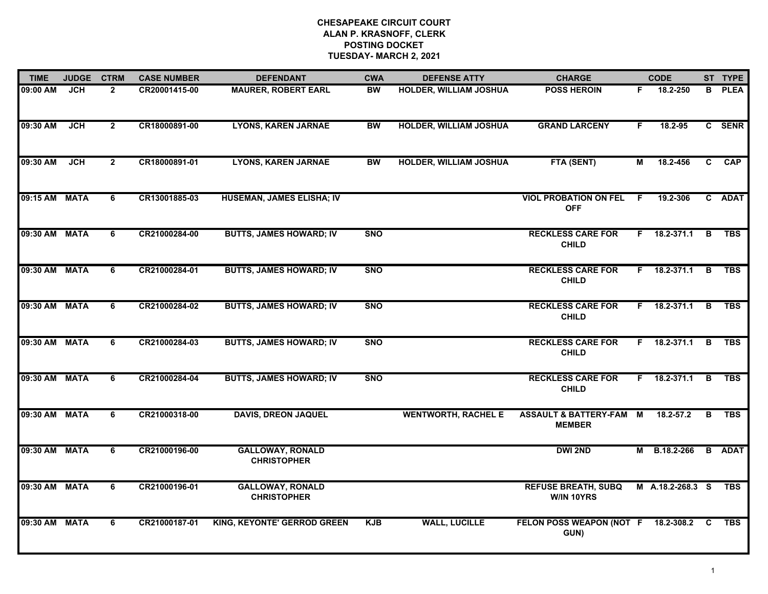| <b>TIME</b>   | <b>JUDGE</b> | <b>CTRM</b>  | <b>CASE NUMBER</b> | <b>DEFENDANT</b>                              | <b>CWA</b> | <b>DEFENSE ATTY</b>           | <b>CHARGE</b>                                       |    | <b>CODE</b>         |    | ST TYPE     |
|---------------|--------------|--------------|--------------------|-----------------------------------------------|------------|-------------------------------|-----------------------------------------------------|----|---------------------|----|-------------|
| 09:00 AM      | JCH          | $\mathbf{2}$ | CR20001415-00      | <b>MAURER, ROBERT EARL</b>                    | <b>BW</b>  | <b>HOLDER, WILLIAM JOSHUA</b> | <b>POSS HEROIN</b>                                  | F. | 18.2-250            | В  | <b>PLEA</b> |
| 09:30 AM      | <b>JCH</b>   | $\mathbf{2}$ | CR18000891-00      | <b>LYONS, KAREN JARNAE</b>                    | <b>BW</b>  | <b>HOLDER, WILLIAM JOSHUA</b> | <b>GRAND LARCENY</b>                                | F. | 18.2-95             |    | C SENR      |
| 09:30 AM      | <b>JCH</b>   | $\mathbf{2}$ | CR18000891-01      | <b>LYONS, KAREN JARNAE</b>                    | <b>BW</b>  | <b>HOLDER, WILLIAM JOSHUA</b> | FTA (SENT)                                          | М  | 18.2-456            | C. | <b>CAP</b>  |
| 09:15 AM      | <b>MATA</b>  | 6            | CR13001885-03      | <b>HUSEMAN, JAMES ELISHA; IV</b>              |            |                               | <b>VIOL PROBATION ON FEL</b><br><b>OFF</b>          | -F | 19.2-306            |    | C ADAT      |
| 09:30 AM      | <b>MATA</b>  | 6            | CR21000284-00      | <b>BUTTS, JAMES HOWARD; IV</b>                | <b>SNO</b> |                               | <b>RECKLESS CARE FOR</b><br><b>CHILD</b>            | F. | 18.2-371.1          | В  | <b>TBS</b>  |
| 09:30 AM      | <b>MATA</b>  | 6            | CR21000284-01      | <b>BUTTS, JAMES HOWARD; IV</b>                | <b>SNO</b> |                               | <b>RECKLESS CARE FOR</b><br><b>CHILD</b>            | F. | 18.2-371.1          | в  | <b>TBS</b>  |
| 09:30 AM      | <b>MATA</b>  | 6            | CR21000284-02      | <b>BUTTS, JAMES HOWARD; IV</b>                | <b>SNO</b> |                               | <b>RECKLESS CARE FOR</b><br><b>CHILD</b>            | F. | 18.2-371.1          | B  | <b>TBS</b>  |
| 09:30 AM      | <b>MATA</b>  | 6            | CR21000284-03      | <b>BUTTS, JAMES HOWARD; IV</b>                | <b>SNO</b> |                               | <b>RECKLESS CARE FOR</b><br><b>CHILD</b>            |    | $F = 18.2 - 371.1$  | B  | <b>TBS</b>  |
| 09:30 AM      | <b>MATA</b>  | 6            | CR21000284-04      | <b>BUTTS, JAMES HOWARD; IV</b>                | <b>SNO</b> |                               | <b>RECKLESS CARE FOR</b><br><b>CHILD</b>            |    | F 18.2-371.1        | B  | <b>TBS</b>  |
| 09:30 AM MATA |              | 6            | CR21000318-00      | <b>DAVIS, DREON JAQUEL</b>                    |            | <b>WENTWORTH, RACHEL E</b>    | <b>ASSAULT &amp; BATTERY-FAM M</b><br><b>MEMBER</b> |    | 18.2-57.2           | B  | <b>TBS</b>  |
| 09:30 AM MATA |              | 6            | CR21000196-00      | <b>GALLOWAY, RONALD</b><br><b>CHRISTOPHER</b> |            |                               | <b>DWI 2ND</b>                                      |    | M B.18.2-266 B ADAT |    |             |
| 09:30 AM MATA |              | 6            | CR21000196-01      | <b>GALLOWAY, RONALD</b><br><b>CHRISTOPHER</b> |            |                               | <b>REFUSE BREATH, SUBQ</b><br>W/IN 10YRS            |    | M A.18.2-268.3 S    |    | <b>TBS</b>  |
| 09:30 AM      | <b>MATA</b>  | 6            | CR21000187-01      | <b>KING, KEYONTE' GERROD GREEN</b>            | <b>KJB</b> | <b>WALL, LUCILLE</b>          | FELON POSS WEAPON (NOT F<br>GUN)                    |    | 18.2-308.2 C        |    | TBS         |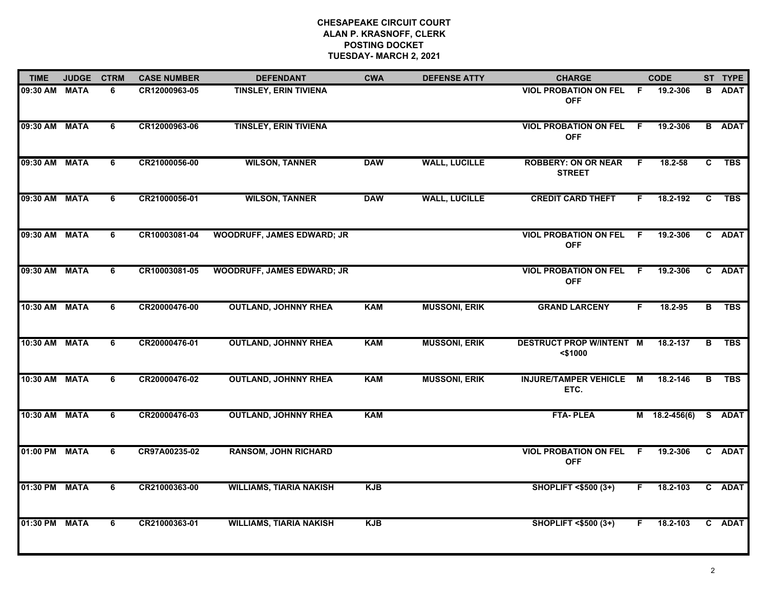| <b>TIME</b>   | <b>JUDGE</b> | <b>CTRM</b>    | <b>CASE NUMBER</b> | <b>DEFENDANT</b>                  | <b>CWA</b> | <b>DEFENSE ATTY</b>  | <b>CHARGE</b>                                 |     | <b>CODE</b>     |                | ST TYPE       |
|---------------|--------------|----------------|--------------------|-----------------------------------|------------|----------------------|-----------------------------------------------|-----|-----------------|----------------|---------------|
| 09:30 AM      | <b>MATA</b>  | 6              | CR12000963-05      | <b>TINSLEY, ERIN TIVIENA</b>      |            |                      | <b>VIOL PROBATION ON FEL</b><br><b>OFF</b>    | E   | 19.2-306        | в              | <b>ADAT</b>   |
| 09:30 AM      | <b>MATA</b>  | 6              | CR12000963-06      | <b>TINSLEY, ERIN TIVIENA</b>      |            |                      | <b>VIOL PROBATION ON FEL</b><br><b>OFF</b>    | F.  | 19.2-306        |                | <b>B</b> ADAT |
| 09:30 AM MATA |              | 6              | CR21000056-00      | <b>WILSON, TANNER</b>             | <b>DAW</b> | <b>WALL, LUCILLE</b> | <b>ROBBERY: ON OR NEAR</b><br><b>STREET</b>   | F.  | 18.2-58         | C              | <b>TBS</b>    |
| 09:30 AM      | <b>MATA</b>  | 6              | CR21000056-01      | <b>WILSON, TANNER</b>             | <b>DAW</b> | <b>WALL, LUCILLE</b> | <b>CREDIT CARD THEFT</b>                      | F.  | 18.2-192        | C              | <b>TBS</b>    |
| 09:30 AM      | <b>MATA</b>  | 6              | CR10003081-04      | <b>WOODRUFF, JAMES EDWARD; JR</b> |            |                      | <b>VIOL PROBATION ON FEL F</b><br><b>OFF</b>  |     | 19.2-306        |                | C ADAT        |
| 09:30 AM MATA |              | 6              | CR10003081-05      | <b>WOODRUFF, JAMES EDWARD; JR</b> |            |                      | <b>VIOL PROBATION ON FEL F</b><br><b>OFF</b>  |     | 19.2-306        |                | C ADAT        |
| 10:30 AM      | <b>MATA</b>  | $\overline{6}$ | CR20000476-00      | <b>OUTLAND, JOHNNY RHEA</b>       | <b>KAM</b> | <b>MUSSONI, ERIK</b> | <b>GRAND LARCENY</b>                          | F.  | 18.2-95         | $\overline{B}$ | <b>TBS</b>    |
| 10:30 AM MATA |              | 6              | CR20000476-01      | <b>OUTLAND, JOHNNY RHEA</b>       | <b>KAM</b> | <b>MUSSONI, ERIK</b> | <b>DESTRUCT PROP W/INTENT M</b><br>$<$ \$1000 |     | 18.2-137        | В              | <b>TBS</b>    |
| 10:30 AM      | <b>MATA</b>  | 6              | CR20000476-02      | <b>OUTLAND, JOHNNY RHEA</b>       | <b>KAM</b> | <b>MUSSONI, ERIK</b> | <b>INJURE/TAMPER VEHICLE</b><br>ETC.          | M   | 18.2-146        | В              | <b>TBS</b>    |
| 10:30 AM      | <b>MATA</b>  | 6              | CR20000476-03      | <b>OUTLAND, JOHNNY RHEA</b>       | <b>KAM</b> |                      | <b>FTA-PLEA</b>                               |     | $M$ 18.2-456(6) |                | S ADAT        |
| 01:00 PM MATA |              | 6              | CR97A00235-02      | <b>RANSOM, JOHN RICHARD</b>       |            |                      | <b>VIOL PROBATION ON FEL</b><br><b>OFF</b>    | - F | 19.2-306        |                | C ADAT        |
| 01:30 PM      | <b>MATA</b>  | $\overline{6}$ | CR21000363-00      | <b>WILLIAMS, TIARIA NAKISH</b>    | <b>KJB</b> |                      | <b>SHOPLIFT &lt;\$500 (3+)</b>                | F.  | 18.2-103        |                | C ADAT        |
| 01:30 PM MATA |              | 6              | CR21000363-01      | <b>WILLIAMS, TIARIA NAKISH</b>    | <b>KJB</b> |                      | <b>SHOPLIFT &lt;\$500 (3+)</b>                | F.  | 18.2-103        |                | C ADAT        |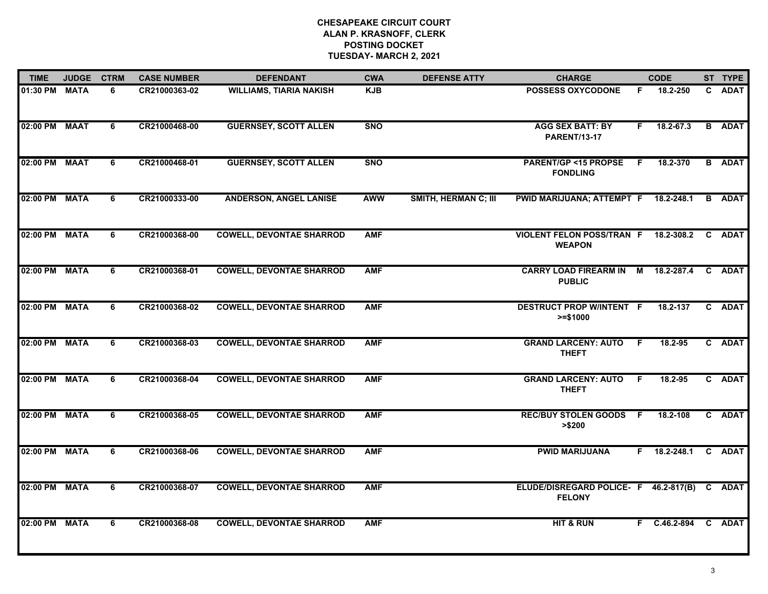| <b>TIME</b>   | <b>JUDGE</b> | <b>CTRM</b> | <b>CASE NUMBER</b> | <b>DEFENDANT</b>                | <b>CWA</b> | <b>DEFENSE ATTY</b>         | <b>CHARGE</b>                                          |     | <b>CODE</b>         |   | ST TYPE       |
|---------------|--------------|-------------|--------------------|---------------------------------|------------|-----------------------------|--------------------------------------------------------|-----|---------------------|---|---------------|
| 01:30 PM MATA |              | 6           | CR21000363-02      | <b>WILLIAMS, TIARIA NAKISH</b>  | <b>KJB</b> |                             | <b>POSSESS OXYCODONE</b>                               | F.  | 18.2-250            |   | C ADAT        |
| 02:00 PM MAAT |              | 6           | CR21000468-00      | <b>GUERNSEY, SCOTT ALLEN</b>    | <b>SNO</b> |                             | <b>AGG SEX BATT: BY</b><br><b>PARENT/13-17</b>         | F.  | 18.2-67.3           |   | <b>B</b> ADAT |
| 02:00 PM MAAT |              | 6           | CR21000468-01      | <b>GUERNSEY, SCOTT ALLEN</b>    | <b>SNO</b> |                             | <b>PARENT/GP &lt;15 PROPSE</b><br><b>FONDLING</b>      | - F | 18.2-370            |   | <b>B</b> ADAT |
| 02:00 PM MATA |              | 6           | CR21000333-00      | <b>ANDERSON, ANGEL LANISE</b>   | <b>AWW</b> | <b>SMITH, HERMAN C; III</b> | PWID MARIJUANA; ATTEMPT F 18.2-248.1                   |     |                     |   | <b>B</b> ADAT |
| 02:00 PM MATA |              | 6           | CR21000368-00      | <b>COWELL, DEVONTAE SHARROD</b> | <b>AMF</b> |                             | <b>VIOLENT FELON POSS/TRAN F</b><br><b>WEAPON</b>      |     | 18.2-308.2          | C | <b>ADAT</b>   |
| 02:00 PM MATA |              | 6           | CR21000368-01      | <b>COWELL, DEVONTAE SHARROD</b> | <b>AMF</b> |                             | CARRY LOAD FIREARM IN M 18.2-287.4<br><b>PUBLIC</b>    |     |                     |   | C ADAT        |
| 02:00 PM MATA |              | 6           | CR21000368-02      | <b>COWELL, DEVONTAE SHARROD</b> | <b>AMF</b> |                             | <b>DESTRUCT PROP W/INTENT F</b><br>$>= $1000$          |     | 18.2-137            |   | C ADAT        |
| 02:00 PM MATA |              | 6           | CR21000368-03      | <b>COWELL, DEVONTAE SHARROD</b> | <b>AMF</b> |                             | <b>GRAND LARCENY: AUTO</b><br><b>THEFT</b>             | - F | 18.2-95             |   | C ADAT        |
| 02:00 PM MATA |              | 6           | CR21000368-04      | <b>COWELL, DEVONTAE SHARROD</b> | <b>AMF</b> |                             | <b>GRAND LARCENY: AUTO</b><br><b>THEFT</b>             | - F | 18.2-95             |   | C ADAT        |
| 02:00 PM MATA |              | 6           | CR21000368-05      | <b>COWELL, DEVONTAE SHARROD</b> | <b>AMF</b> |                             | <b>REC/BUY STOLEN GOODS F</b><br>> \$200               |     | 18.2-108            |   | C ADAT        |
| 02:00 PM MATA |              | 6           | CR21000368-06      | <b>COWELL, DEVONTAE SHARROD</b> | <b>AMF</b> |                             | <b>PWID MARIJUANA</b>                                  |     | $F$ 18.2-248.1      |   | C ADAT        |
| 02:00 PM MATA |              | 6           | CR21000368-07      | <b>COWELL, DEVONTAE SHARROD</b> | <b>AMF</b> |                             | ELUDE/DISREGARD POLICE- F 46.2-817(B)<br><b>FELONY</b> |     |                     |   | C ADAT        |
| 02:00 PM MATA |              | 6           | CR21000368-08      | <b>COWELL, DEVONTAE SHARROD</b> | <b>AMF</b> |                             | <b>HIT &amp; RUN</b>                                   |     | F C.46.2-894 C ADAT |   |               |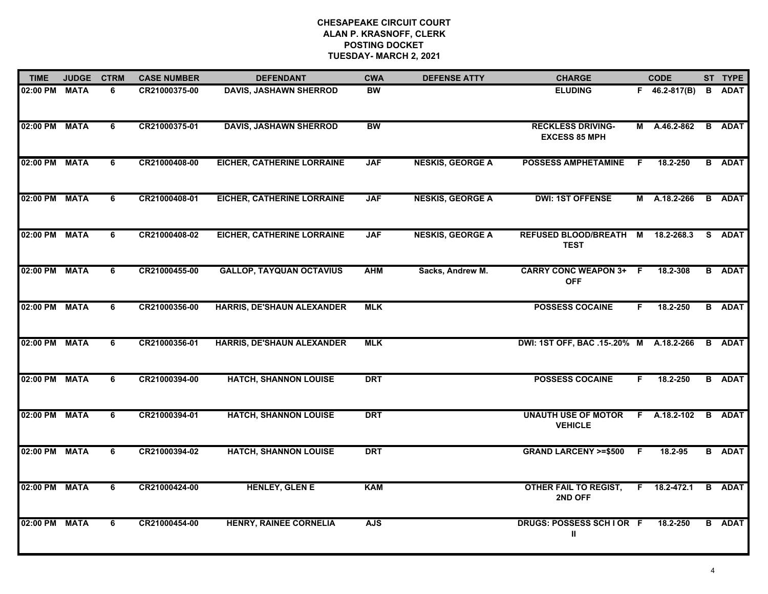| <b>TIME</b>   | <b>JUDGE</b> | <b>CTRM</b>    | <b>CASE NUMBER</b> | <b>DEFENDANT</b>                  | <b>CWA</b> | <b>DEFENSE ATTY</b>     | <b>CHARGE</b>                                    |    | <b>CODE</b>         | ST TYPE       |
|---------------|--------------|----------------|--------------------|-----------------------------------|------------|-------------------------|--------------------------------------------------|----|---------------------|---------------|
| 02:00 PM MATA |              | 6              | CR21000375-00      | <b>DAVIS, JASHAWN SHERROD</b>     | <b>BW</b>  |                         | <b>ELUDING</b>                                   |    | $F = 46.2 - 817(B)$ | <b>B</b> ADAT |
| 02:00 PM      | <b>MATA</b>  | 6              | CR21000375-01      | <b>DAVIS, JASHAWN SHERROD</b>     | <b>BW</b>  |                         | <b>RECKLESS DRIVING-</b><br><b>EXCESS 85 MPH</b> | М  | A.46.2-862          | <b>B</b> ADAT |
| 02:00 PM MATA |              | 6              | CR21000408-00      | <b>EICHER, CATHERINE LORRAINE</b> | <b>JAF</b> | <b>NESKIS, GEORGE A</b> | <b>POSSESS AMPHETAMINE</b>                       | E  | 18.2-250            | <b>B</b> ADAT |
| 02:00 PM MATA |              | 6              | CR21000408-01      | <b>EICHER, CATHERINE LORRAINE</b> | <b>JAF</b> | <b>NESKIS, GEORGE A</b> | <b>DWI: 1ST OFFENSE</b>                          |    | M A.18.2-266        | <b>B</b> ADAT |
| 02:00 PM MATA |              | 6              | CR21000408-02      | <b>EICHER, CATHERINE LORRAINE</b> | <b>JAF</b> | <b>NESKIS, GEORGE A</b> | <b>REFUSED BLOOD/BREATH M</b><br><b>TEST</b>     |    | 18.2-268.3          | S ADAT        |
| 02:00 PM MATA |              | 6              | CR21000455-00      | <b>GALLOP, TAYQUAN OCTAVIUS</b>   | <b>AHM</b> | Sacks, Andrew M.        | <b>CARRY CONC WEAPON 3+ F</b><br><b>OFF</b>      |    | 18.2-308            | <b>B</b> ADAT |
| 02:00 PM MATA |              | 6              | CR21000356-00      | <b>HARRIS, DE'SHAUN ALEXANDER</b> | <b>MLK</b> |                         | <b>POSSESS COCAINE</b>                           | F. | 18.2-250            | <b>B</b> ADAT |
| 02:00 PM MATA |              | 6              | CR21000356-01      | <b>HARRIS, DE'SHAUN ALEXANDER</b> | <b>MLK</b> |                         | DWI: 1ST OFF, BAC .15-.20% M A.18.2-266          |    |                     | <b>B</b> ADAT |
| 02:00 PM      | <b>MATA</b>  | 6              | CR21000394-00      | <b>HATCH, SHANNON LOUISE</b>      | <b>DRT</b> |                         | <b>POSSESS COCAINE</b>                           | F. | 18.2-250            | <b>B</b> ADAT |
| 02:00 PM MATA |              | 6              | CR21000394-01      | <b>HATCH, SHANNON LOUISE</b>      | <b>DRT</b> |                         | <b>UNAUTH USE OF MOTOR</b><br><b>VEHICLE</b>     |    | $F$ A.18.2-102      | <b>B</b> ADAT |
| 02:00 PM MATA |              | 6              | CR21000394-02      | <b>HATCH, SHANNON LOUISE</b>      | <b>DRT</b> |                         | <b>GRAND LARCENY &gt;=\$500</b>                  | F  | 18.2-95             | <b>B</b> ADAT |
| 02:00 PM      | <b>MATA</b>  | $\overline{6}$ | CR21000424-00      | <b>HENLEY, GLEN E</b>             | <b>KAM</b> |                         | <b>OTHER FAIL TO REGIST,</b><br>2ND OFF          | F. | 18.2-472.1          | <b>B</b> ADAT |
| 02:00 PM MATA |              | 6              | CR21000454-00      | <b>HENRY, RAINEE CORNELIA</b>     | <b>AJS</b> |                         | DRUGS: POSSESS SCHIOR F<br>Ш                     |    | 18.2-250            | <b>B</b> ADAT |